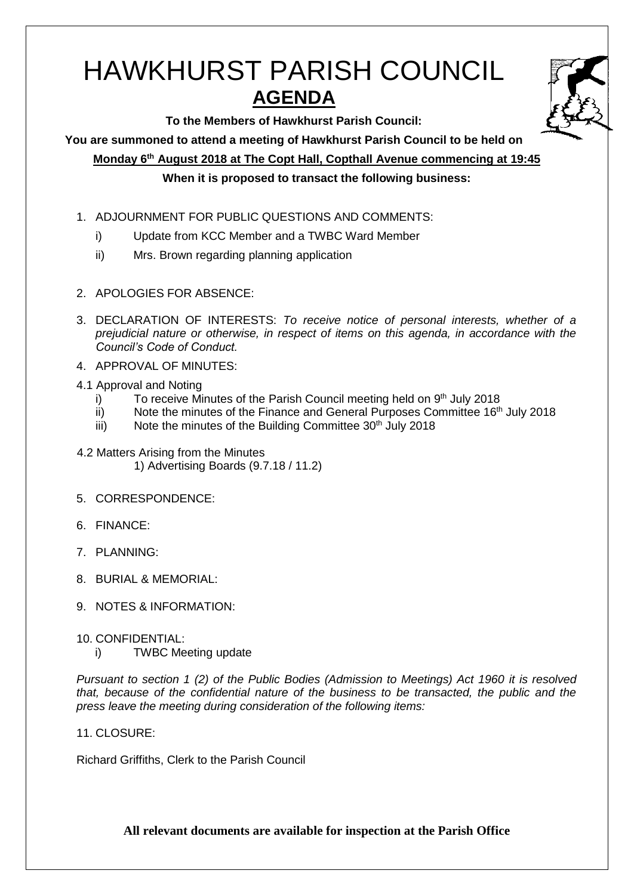# HAWKHURST PARISH COUNCIL **AGENDA**

**To the Members of Hawkhurst Parish Council:**

**You are summoned to attend a meeting of Hawkhurst Parish Council to be held on**

**Monday 6 th August 2018 at The Copt Hall, Copthall Avenue commencing at 19:45**

**When it is proposed to transact the following business:**

- 1. ADJOURNMENT FOR PUBLIC QUESTIONS AND COMMENTS:
	- i) Update from KCC Member and a TWBC Ward Member
	- ii) Mrs. Brown regarding planning application
- 2. APOLOGIES FOR ABSENCE:
- 3. DECLARATION OF INTERESTS: *To receive notice of personal interests, whether of a prejudicial nature or otherwise, in respect of items on this agenda, in accordance with the Council's Code of Conduct.*
- 4. APPROVAL OF MINUTES:
- 4.1 Approval and Noting
	- i) To receive Minutes of the Parish Council meeting held on  $9<sup>th</sup>$  July 2018
	- ii) Note the minutes of the Finance and General Purposes Committee  $16<sup>th</sup>$  July 2018
	- iii) Note the minutes of the Building Committee  $30<sup>th</sup>$  July 2018
- 4.2 Matters Arising from the Minutes 1) Advertising Boards (9.7.18 / 11.2)
- 5. CORRESPONDENCE:
- 6. FINANCE:
- 7. PLANNING:
- 8. BURIAL & MEMORIAL:
- 9. NOTES & INFORMATION:
- 10. CONFIDENTIAL:
	- i) TWBC Meeting update

*Pursuant to section 1 (2) of the Public Bodies (Admission to Meetings) Act 1960 it is resolved that, because of the confidential nature of the business to be transacted, the public and the press leave the meeting during consideration of the following items:*

11. CLOSURE:

Richard Griffiths, Clerk to the Parish Council

**All relevant documents are available for inspection at the Parish Office**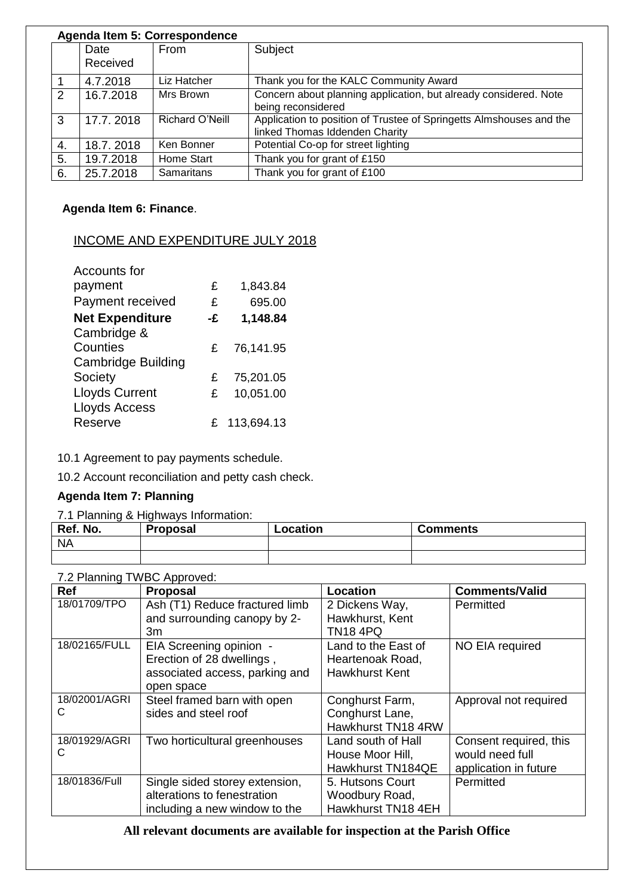|    | Agenda Item 5: Correspondence |                   |                                                                     |  |  |
|----|-------------------------------|-------------------|---------------------------------------------------------------------|--|--|
|    | Date                          | From              | Subject                                                             |  |  |
|    | Received                      |                   |                                                                     |  |  |
|    | 4.7.2018                      | Liz Hatcher       | Thank you for the KALC Community Award                              |  |  |
| 2  | 16.7.2018                     | Mrs Brown         | Concern about planning application, but already considered. Note    |  |  |
|    |                               |                   | being reconsidered                                                  |  |  |
| 3  | 17.7.2018                     | Richard O'Neill   | Application to position of Trustee of Springetts Almshouses and the |  |  |
|    |                               |                   | linked Thomas Iddenden Charity                                      |  |  |
| 4. | 18.7.2018                     | Ken Bonner        | Potential Co-op for street lighting                                 |  |  |
| 5. | 19.7.2018                     | Home Start        | Thank you for grant of £150                                         |  |  |
| 6. | 25.7.2018                     | <b>Samaritans</b> | Thank you for grant of £100                                         |  |  |

# **Agenda Item 6: Finance**.

## INCOME AND EXPENDITURE JULY 2018

| <b>Accounts for</b>       |    |              |
|---------------------------|----|--------------|
| payment                   | £  | 1,843.84     |
| Payment received          | £  | 695.00       |
| <b>Net Expenditure</b>    | -£ | 1,148.84     |
| Cambridge &               |    |              |
| Counties                  | £  | 76,141.95    |
| <b>Cambridge Building</b> |    |              |
| Society                   | £  | 75,201.05    |
| <b>Lloyds Current</b>     | £  | 10,051.00    |
| <b>Lloyds Access</b>      |    |              |
| Reserve                   |    | £ 113,694.13 |
|                           |    |              |

10.1 Agreement to pay payments schedule.

10.2 Account reconciliation and petty cash check.

## **Agenda Item 7: Planning**

7.1 Planning & Highways Information:

| Ref. No.  | <b>Proposal</b> | Location | <b>Comments</b> |
|-----------|-----------------|----------|-----------------|
| <b>NA</b> |                 |          |                 |
|           |                 |          |                 |

| 7.2 Planning TWBC Approved: |                                |                       |                        |  |
|-----------------------------|--------------------------------|-----------------------|------------------------|--|
| <b>Ref</b>                  | <b>Proposal</b>                | Location              | <b>Comments/Valid</b>  |  |
| 18/01709/TPO                | Ash (T1) Reduce fractured limb | 2 Dickens Way,        | Permitted              |  |
|                             | and surrounding canopy by 2-   | Hawkhurst, Kent       |                        |  |
|                             | 3m                             | <b>TN18 4PQ</b>       |                        |  |
| 18/02165/FULL               | EIA Screening opinion -        | Land to the East of   | NO EIA required        |  |
|                             | Erection of 28 dwellings,      | Heartenoak Road,      |                        |  |
|                             | associated access, parking and | <b>Hawkhurst Kent</b> |                        |  |
|                             | open space                     |                       |                        |  |
| 18/02001/AGRI               | Steel framed barn with open    | Conghurst Farm,       | Approval not required  |  |
| C                           | sides and steel roof           | Conghurst Lane,       |                        |  |
|                             |                                | Hawkhurst TN18 4RW    |                        |  |
| 18/01929/AGRI               | Two horticultural greenhouses  | Land south of Hall    | Consent required, this |  |
| С                           |                                | House Moor Hill,      | would need full        |  |
|                             |                                | Hawkhurst TN184QE     | application in future  |  |
| 18/01836/Full               | Single sided storey extension, | 5. Hutsons Court      | Permitted              |  |
|                             | alterations to fenestration    | Woodbury Road,        |                        |  |
|                             | including a new window to the  | Hawkhurst TN18 4EH    |                        |  |

## **All relevant documents are available for inspection at the Parish Office**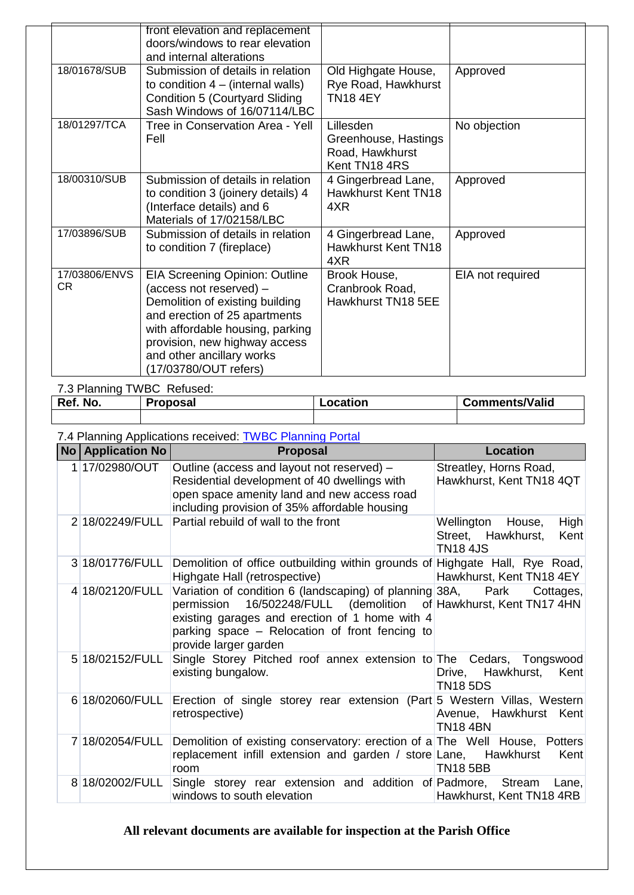|                            | front elevation and replacement<br>doors/windows to rear elevation<br>and internal alterations                                                                                                                                                                  |                                                                       |                  |
|----------------------------|-----------------------------------------------------------------------------------------------------------------------------------------------------------------------------------------------------------------------------------------------------------------|-----------------------------------------------------------------------|------------------|
| 18/01678/SUB               | Submission of details in relation<br>to condition $4 - (internal walls)$<br><b>Condition 5 (Courtyard Sliding</b><br>Sash Windows of 16/07114/LBC                                                                                                               | Old Highgate House,<br>Rye Road, Hawkhurst<br><b>TN18 4EY</b>         | Approved         |
| 18/01297/TCA               | Tree in Conservation Area - Yell<br>Fell                                                                                                                                                                                                                        | Lillesden<br>Greenhouse, Hastings<br>Road, Hawkhurst<br>Kent TN18 4RS | No objection     |
| 18/00310/SUB               | Submission of details in relation<br>to condition 3 (joinery details) 4<br>(Interface details) and 6<br>Materials of 17/02158/LBC                                                                                                                               | 4 Gingerbread Lane,<br><b>Hawkhurst Kent TN18</b><br>4XR              | Approved         |
| 17/03896/SUB               | Submission of details in relation<br>to condition 7 (fireplace)                                                                                                                                                                                                 | 4 Gingerbread Lane,<br><b>Hawkhurst Kent TN18</b><br>4XR              | Approved         |
| 17/03806/ENVS<br><b>CR</b> | <b>EIA Screening Opinion: Outline</b><br>(access not reserved) -<br>Demolition of existing building<br>and erection of 25 apartments<br>with affordable housing, parking<br>provision, new highway access<br>and other ancillary works<br>(17/03780/OUT refers) | Brook House,<br>Cranbrook Road,<br>Hawkhurst TN18 5EE                 | EIA not required |

#### 7.3 Planning TWBC Refused:

| No.<br>Ref. | Proposal | .ocation | <b>Comments/Valid</b> |
|-------------|----------|----------|-----------------------|
|             |          |          |                       |

#### 7.4 Planning Applications received: [TWBC Planning Portal](http://www.tunbridgewells.gov.uk/residents/planning/planning-application-search)

| <b>No   Application No  </b> | <b>Proposal</b>                                                                                                                                                                                                                                                   | Location                                                                   |
|------------------------------|-------------------------------------------------------------------------------------------------------------------------------------------------------------------------------------------------------------------------------------------------------------------|----------------------------------------------------------------------------|
| 1 17/02980/OUT               | Outline (access and layout not reserved) -<br>Residential development of 40 dwellings with<br>open space amenity land and new access road<br>including provision of 35% affordable housing                                                                        | Streatley, Horns Road,<br>Hawkhurst, Kent TN18 4QT                         |
| 2 18/02249/FULL              | Partial rebuild of wall to the front                                                                                                                                                                                                                              | Wellington House,<br>High<br>Street, Hawkhurst,<br>Kent<br><b>TN18 4JS</b> |
| 3 18/01776/FULL              | Demolition of office outbuilding within grounds of Highgate Hall, Rye Road,<br>Highgate Hall (retrospective)                                                                                                                                                      | Hawkhurst, Kent TN18 4EY                                                   |
| 4 18/02120/FULL              | Variation of condition 6 (landscaping) of planning 38A, Park<br>16/502248/FULL (demolition of Hawkhurst, Kent TN17 4HN<br>permission<br>existing garages and erection of 1 home with 4<br>parking space – Relocation of front fencing to<br>provide larger garden | Cottages,                                                                  |
| 5 18/02152/FULL              | Single Storey Pitched roof annex extension to The Cedars, Tongswood<br>existing bungalow.                                                                                                                                                                         | Drive, Hawkhurst, Kent<br><b>TN18 5DS</b>                                  |
| 6 18/02060/FULL              | Erection of single storey rear extension (Part 5 Western Villas, Western<br>retrospective)                                                                                                                                                                        | Avenue, Hawkhurst Kent<br><b>TN18 4BN</b>                                  |
| 7 18/02054/FULL              | Demolition of existing conservatory: erection of a The Well House, Potters<br>replacement infill extension and garden / store Lane, Hawkhurst<br>room                                                                                                             | Kent<br><b>TN18 5BB</b>                                                    |
| 8 18/02002/FULL              | Single storey rear extension and addition of Padmore, Stream Lane,<br>windows to south elevation                                                                                                                                                                  | Hawkhurst, Kent TN18 4RB                                                   |

# **All relevant documents are available for inspection at the Parish Office**